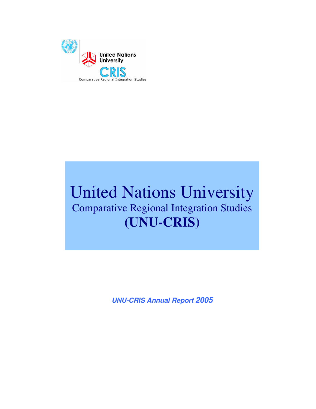

# United Nations University Comparative Regional Integration Studies **(UNU-CRIS)**

**UNU-CRIS Annual Report 2005**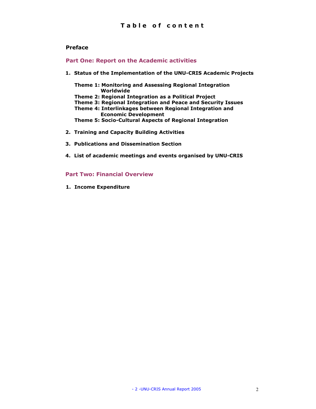#### Preface

#### Part One: Report on the Academic activities

1. Status of the Implementation of the UNU-CRIS Academic Projects

Theme 1: Monitoring and Assessing Regional Integration Worldwide

- Theme 2: Regional Integration as a Political Project
- Theme 3: Regional Integration and Peace and Security Issues
- Theme 4: Interlinkages between Regional Integration and Economic Development
- Theme 5: Socio-Cultural Aspects of Regional Integration
- 2. Training and Capacity Building Activities
- 3. Publications and Dissemination Section
- 4. List of academic meetings and events organised by UNU-CRIS

#### Part Two: Financial Overview

1. Income Expenditure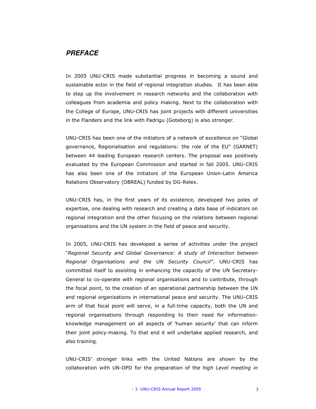## **PREFACE**

In 2005 UNU-CRIS made substantial progress in becoming a sound and sustainable actor in the field of regional integration studies. It has been able to step up the involvement in research networks and the collaboration with colleagues from academia and policy making. Next to the collaboration with the College of Europe, UNU-CRIS has joint projects with different universities in the Flanders and the link with Padrigu (Goteborg) is also stronger.

UNU-CRIS has been one of the initiators of a network of excellence on "Global governance, Regionalisation and regulations: the role of the EU" (GARNET) between 44 leading European research centers. The proposal was positively evaluated by the European Commission and started in fall 2005. UNU-CRIS has also been one of the initiators of the European Union-Latin America Relations Observatory (OBREAL) funded by DG-Relex.

UNU-CRIS has, in the first years of its existence, developed two poles of expertise, one dealing with research and creating a data base of indicators on regional integration and the other focusing on the relations between regional organisations and the UN system in the field of peace and security.

In 2005, UNU-CRIS has developed a series of activities under the project "Regional Security and Global Governance: A study of Interaction between Regional Organisations and the UN Security Council". UNU-CRIS has committed itself to assisting in enhancing the capacity of the UN Secretary-General to co-operate with regional organisations and to contribute, through the focal point, to the creation of an operational partnership between the UN and regional organisations in international peace and security. The UNU-CRIS arm of that focal point will serve, in a full-time capacity, both the UN and regional organisations through responding to their need for informationknowledge management on all aspects of 'human security' that can inform their joint policy-making. To that end it will undertake applied research, and also training.

UNU-CRIS' stronger links with the United Nations are shown by the collaboration with UN-DPD for the preparation of the high Level meeting in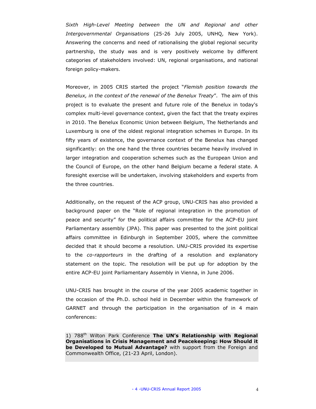Sixth High-Level Meeting between the UN and Regional and other Intergovernmental Organisations (25-26 July 2005, UNHQ, New York). Answering the concerns and need of rationalising the global regional security partnership, the study was and is very positively welcome by different categories of stakeholders involved: UN, regional organisations, and national foreign policy-makers.

Moreover, in 2005 CRIS started the project "Flemish position towards the Benelux, in the context of the renewal of the Benelux Treaty". The aim of this project is to evaluate the present and future role of the Benelux in today's complex multi-level governance context, given the fact that the treaty expires in 2010. The Benelux Economic Union between Belgium, The Netherlands and Luxemburg is one of the oldest regional integration schemes in Europe. In its fifty years of existence, the governance context of the Benelux has changed significantly: on the one hand the three countries became heavily involved in larger integration and cooperation schemes such as the European Union and the Council of Europe, on the other hand Belgium became a federal state. A foresight exercise will be undertaken, involving stakeholders and experts from the three countries.

Additionally, on the request of the ACP group, UNU-CRIS has also provided a background paper on the "Role of regional integration in the promotion of peace and security" for the political affairs committee for the ACP-EU joint Parliamentary assembly (JPA). This paper was presented to the joint political affairs committee in Edinburgh in September 2005, where the committee decided that it should become a resolution. UNU-CRIS provided its expertise to the co-rapporteurs in the drafting of a resolution and explanatory statement on the topic. The resolution will be put up for adoption by the entire ACP-EU joint Parliamentary Assembly in Vienna, in June 2006.

UNU-CRIS has brought in the course of the year 2005 academic together in the occasion of the Ph.D. school held in December within the framework of GARNET and through the participation in the organisation of in 4 main conferences:

1) 788<sup>th</sup> Wilton Park Conference The UN's Relationship with Regional Organisations in Crisis Management and Peacekeeping: How Should it be Developed to Mutual Advantage? with support from the Foreign and Commonwealth Office, (21-23 April, London).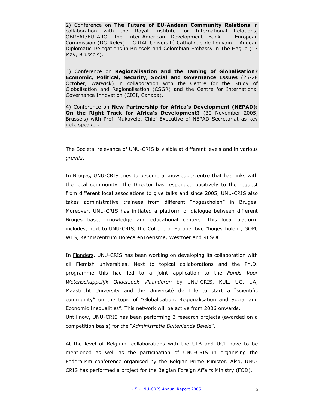2) Conference on The Future of EU-Andean Community Relations in collaboration with the Royal Institute for International Relations, OBREAL/EULARO, the Inter-American Development Bank – European Commission (DG Relex) – GRIAL Université Catholique de Louvain – Andean Diplomatic Delegations in Brussels and Colombian Embassy in The Hague (13 May, Brussels).

3) Conference on Regionalisation and the Taming of Globalisation? Economic, Political, Security, Social and Governance Issues (26-28 October, Warwick) in collaboration with the Centre for the Study of Globalisation and Regionalisation (CSGR) and the Centre for International Governance Innovation (CIGI, Canada).

4) Conference on New Partnership for Africa's Development (NEPAD): On the Right Track for Africa's Development? (30 November 2005, Brussels) with Prof. Mukavele, Chief Executive of NEPAD Secretariat as key note speaker.

The Societal relevance of UNU-CRIS is visible at different levels and in various gremia:

In Bruges, UNU-CRIS tries to become a knowledge-centre that has links with the local community. The Director has responded positively to the request from different local associations to give talks and since 2005, UNU-CRIS also takes administrative trainees from different "hogescholen" in Bruges. Moreover, UNU-CRIS has initiated a platform of dialogue between different Bruges based knowledge and educational centers. This local platform includes, next to UNU-CRIS, the College of Europe, two "hogescholen", GOM, WES, Kenniscentrum Horeca enToerisme, Westtoer and RESOC.

In Flanders, UNU-CRIS has been working on developing its collaboration with all Flemish universities. Next to topical collaborations and the Ph.D. programme this had led to a joint application to the Fonds Voor Wetenschappelijk Onderzoek Vlaanderen by UNU-CRIS, KUL, UG, UA, Maastricht University and the Université de Lille to start a "scientific community" on the topic of "Globalisation, Regionalisation and Social and Economic Inequalities". This network will be active from 2006 onwards. Until now, UNU-CRIS has been performing 3 research projects (awarded on a competition basis) for the "Administratie Buitenlands Beleid".

At the level of **Belgium**, collaborations with the ULB and UCL have to be mentioned as well as the participation of UNU-CRIS in organising the Federalism conference organised by the Belgian Prime Minister. Also, UNU-CRIS has performed a project for the Belgian Foreign Affairs Ministry (FOD).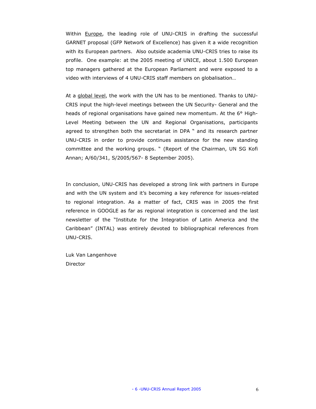Within **Europe**, the leading role of UNU-CRIS in drafting the successful GARNET proposal (GFP Network of Excellence) has given it a wide recognition with its European partners. Also outside academia UNU-CRIS tries to raise its profile. One example: at the 2005 meeting of UNICE, about 1.500 European top managers gathered at the European Parliament and were exposed to a video with interviews of 4 UNU-CRIS staff members on globalisation…

At a global level, the work with the UN has to be mentioned. Thanks to UNU-CRIS input the high-level meetings between the UN Security- General and the heads of regional organisations have gained new momentum. At the 6° High-Level Meeting between the UN and Regional Organisations, participants agreed to strengthen both the secretariat in DPA " and its research partner UNU-CRIS in order to provide continues assistance for the new standing committee and the working groups. " (Report of the Chairman, UN SG Kofi Annan; A/60/341, S/2005/567- 8 September 2005).

In conclusion, UNU-CRIS has developed a strong link with partners in Europe and with the UN system and it's becoming a key reference for issues-related to regional integration. As a matter of fact, CRIS was in 2005 the first reference in GOOGLE as far as regional integration is concerned and the last newsletter of the "Institute for the Integration of Latin America and the Caribbean" (INTAL) was entirely devoted to bibliographical references from UNU-CRIS.

Luk Van Langenhove **Director**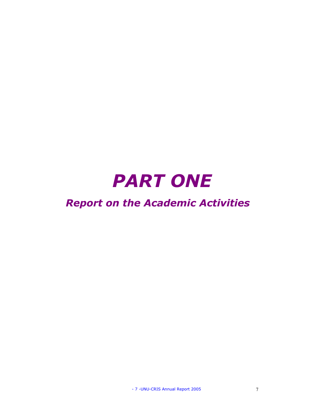# PART ONE

# Report on the Academic Activities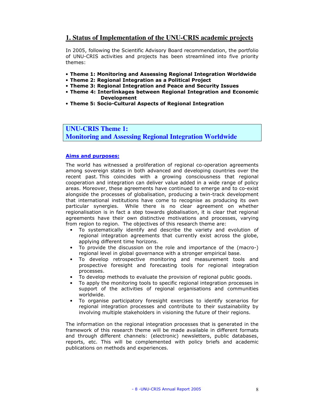# **1. Status of Implementation of the UNU-CRIS academic projects**

In 2005, following the Scientific Advisory Board recommendation, the portfolio of UNU-CRIS activities and projects has been streamlined into five priority themes:

- Theme 1: Monitoring and Assessing Regional Integration Worldwide
- Theme 2: Regional Integration as a Political Project
- Theme 3: Regional Integration and Peace and Security Issues
- Theme 4: Interlinkages between Regional Integration and Economic Development
- Theme 5: Socio-Cultural Aspects of Regional Integration

**UNU-CRIS Theme 1: Monitoring and Assessing Regional Integration Worldwide** 

#### Aims and purposes:

The world has witnessed a proliferation of regional co-operation agreements among sovereign states in both advanced and developing countries over the recent past. This coincides with a growing consciousness that regional cooperation and integration can deliver value added in a wide range of policy areas. Moreover, these agreements have continued to emerge and to co-exist alongside the processes of globalisation, producing a twin-track development that international institutions have come to recognise as producing its own particular synergies. While there is no clear agreement on whether regionalisation is in fact a step towards globalisation, it is clear that regional agreements have their own distinctive motivations and processes, varying from region to region. The objectives of this research theme are:

- To systematically identify and describe the variety and evolution of regional integration agreements that currently exist across the globe, applying different time horizons.
- To provide the discussion on the role and importance of the (macro-) regional level in global governance with a stronger empirical base.
- To develop retrospective monitoring and measurement tools and prospective foresight and forecasting tools for regional integration processes.
- To develop methods to evaluate the provision of regional public goods.
- To apply the monitoring tools to specific regional integration processes in support of the activities of regional organisations and communities worldwide.
- To organise participatory foresight exercises to identify scenarios for regional integration processes and contribute to their sustainability by involving multiple stakeholders in visioning the future of their regions.

The information on the regional integration processes that is generated in the framework of this research theme will be made available in different formats and through different channels: (electronic) newsletters, public databases, reports, etc. This will be complemented with policy briefs and academic publications on methods and experiences.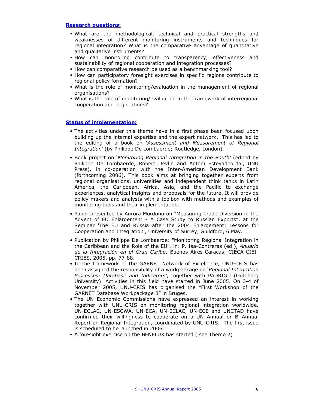#### Research questions:

- What are the methodological, technical and practical strengths and weaknesses of different monitoring instruments and techniques for regional integration? What is the comparative advantage of quantitative and qualitative instruments?
- How can monitoring contribute to transparency, effectiveness and sustainability of regional cooperation and integration processes?
- How can comparative research be used as a benchmarking tool?
- How can participatory foresight exercises in specific regions contribute to regional policy formation?
- What is the role of monitoring/evaluation in the management of regional organisations?
- What is the role of monitoring/evaluation in the framework of interregional cooperation and negotiations?

- The activities under this theme have in a first phase been focused upon building up the internal expertise and the expert network. This has led to the editing of a book on 'Assessment and Measurement of Regional Integration' (by Philippe De Lombaerde; Routledge, London).
- Book project on 'Monitoring Regional Integration in the South' (edited by Philippe De Lombaerde, Robert Devlin and Antoni Estevadeordal, UNU Press), in co-operation with the Inter-American Development Bank (forthcoming 2006). This book aims at bringing together experts from regional organisations, universities and independent think tanks in Latin America, the Caribbean, Africa, Asia, and the Pacific to exchange experiences, analytical insights and proposals for the future. It will provide policy makers and analysts with a toolbox with methods and examples of monitoring tools and their implementation.
- Paper presented by Aurora Mordonu on "Measuring Trade Diversion in the Advent of EU Enlargement - A Case Study to Russian Exports", at the Seminar 'The EU and Russia after the 2004 Enlargement: Lessons for Cooperation and Integration', University of Surrey, Guildford, 6 May.
- Publication by Philippe De Lombaerde: "Monitoring Regional Integration in the Caribbean and the Role of the EU". in: P. Isa-Contreras (ed.), Anuario de la Integración en el Gran Caribe, Buenos Aires-Caracas, CIECA-CIEI-CRIES, 2005, pp. 77-88.
- In the framework of the GARNET Network of Excellence, UNU-CRIS has been assigned the responsibility of a workpackage on 'Regional Integration Processes- Database and Indicators', together with PADRIGU (Göteborg University). Activities in this field have started in June 2005. On 3-4 of November 2005, UNU-CRIS has organised the "First Workshop of the GARNET Database Workpackage 3" in Bruges.
- The UN Economic Commissions have expressed an interest in working together with UNU-CRIS on monitoring regional integration worldwide. UN-ECLAC, UN-ESCWA, UN-ECA, UN-ECLAC, UN-ECE and UNCTAD have confirmed their willingness to cooperate on a UN Annual or Bi-Annual Report on Regional Integration, coordinated by UNU-CRIS. The first issue is scheduled to be launched in 2006.
- A foresight exercise on the BENELUX has started ( see Theme 2)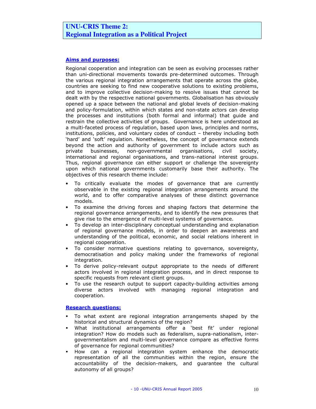# **UNU-CRIS Theme 2: Regional Integration as a Political Project**

#### Aims and purposes:

Regional cooperation and integration can be seen as evolving processes rather than uni-directional movements towards pre-determined outcomes. Through the various regional integration arrangements that operate across the globe, countries are seeking to find new cooperative solutions to existing problems, and to improve collective decision-making to resolve issues that cannot be dealt with by the respective national governments. Globalisation has obviously opened up a space between the national and global levels of decision-making and policy-formulation, within which states and non-state actors can develop the processes and institutions (both formal and informal) that guide and restrain the collective activities of groups. Governance is here understood as a multi-faceted process of regulation, based upon laws, principles and norms, institutions, policies, and voluntary codes of conduct – thereby including both 'hard' and 'soft' regulation. Nonetheless, the concept of governance extends beyond the action and authority of government to include actors such as private businesses, non-governmental organisations, civil society, international and regional organisations, and trans-national interest groups. Thus, regional governance can either support or challenge the sovereignty upon which national governments customarily base their authority. The objectives of this research theme include:

- To critically evaluate the modes of governance that are currently observable in the existing regional integration arrangements around the world, and to offer comparative analyses of these distinct governance models.
- To examine the driving forces and shaping factors that determine the regional governance arrangements, and to identify the new pressures that give rise to the emergence of multi-level systems of governance.
- To develop an inter-disciplinary conceptual understanding and explanation of regional governance models, in order to deepen an awareness and understanding of the political, economic, and social relations inherent in regional cooperation.
- To consider normative questions relating to governance, sovereignty, democratisation and policy making under the frameworks of regional integration.
- To derive policy-relevant output appropriate to the needs of different actors involved in regional integration process, and in direct response to specific requests from relevant client groups.
- To use the research output to support capacity-building activities among diverse actors involved with managing regional integration and cooperation.

#### Research questions:

- To what extent are regional integration arrangements shaped by the historical and structural dynamics of the region?
- What institutional arrangements offer a 'best fit' under regional integration? How do models such as federalism, supra-nationalism, intergovernmentalism and multi-level governance compare as effective forms of governance for regional communities?
- How can a regional integration system enhance the democratic representation of all the communities within the region, ensure the accountability of the decision-makers, and guarantee the cultural autonomy of all groups?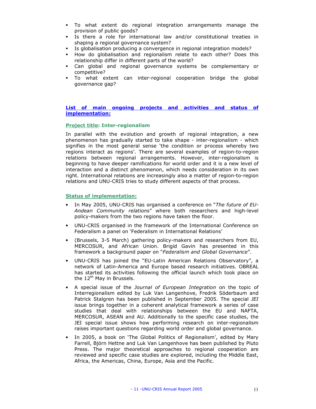- To what extent do regional integration arrangements manage the provision of public goods?
- Is there a role for international law and/or constitutional treaties in shaping a regional governance system?
- Is globalisation producing a convergence in regional integration models?
- How do globalisation and regionalism relate to each other? Does this relationship differ in different parts of the world?
- Can global and regional governance systems be complementary or competitive?
- To what extent can inter-regional cooperation bridge the global governance gap?

#### List of main ongoing projects and activities and status of implementation:

#### Project title: Inter-regionalism

In parallel with the evolution and growth of regional integration, a new phenomenon has gradually started to take shape - inter-regionalism - which signifies in the most general sense 'the condition or process whereby two regions interact as regions'. There are several examples of region-to-region relations between regional arrangements. However, inter-regionalism is beginning to have deeper ramifications for world order and it is a new level of interaction and a distinct phenomenon, which needs consideration in its own right. International relations are increasingly also a matter of region-to-region relations and UNU-CRIS tries to study different aspects of that process.

- In May 2005, UNU-CRIS has organised a conference on "The future of EU-Andean Community relations" where both researchers and high-level policy-makers from the two regions have taken the floor.
- UNU-CRIS organised in the framework of the International Conference on Federalism a panel on 'Federalism in International Relations'
- (Brussels, 3-5 March) gathering policy-makers and researchers from EU, MERCOSUR, and African Union. Brigid Gavin has presented in this framework a background paper on "Federalism and Global Governance".
- UNU-CRIS has joined the "EU-Latin American Relations Observatory", a network of Latin-America and Europe based research initiatives. OBREAL has started its activities following the official launch which took place on the 12<sup>th</sup> May in Brussels.
- A special issue of the Journal of European Integration on the topic of Interregionalism edited by Luk Van Langenhove, Fredrik Söderbaum and Patrick Stalgren has been published in September 2005. The special JEI issue brings together in a coherent analytical framework a series of case studies that deal with relationships between the EU and NAFTA, MERCOSUR, ASEAN and AU. Additionally to the specific case studies, the JEI special issue shows how performing research on inter-regionalism raises important questions regarding world order and global governance.
- In 2005, a book on 'The Global Politics of Regionalism', edited by Mary Farrell, Björn Hettne and Luk Van Langenhove has been published by Pluto Press. The major theoretical approaches to regional cooperation are reviewed and specific case studies are explored, including the Middle East, Africa, the Americas, China, Europe, Asia and the Pacific.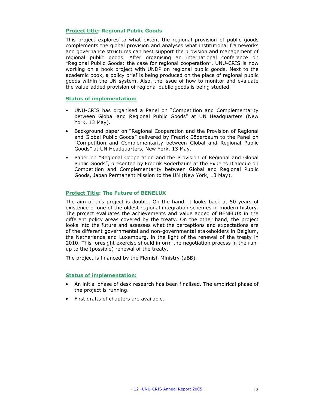#### Project title: Regional Public Goods

This project explores to what extent the regional provision of public goods complements the global provision and analyses what institutional frameworks and governance structures can best support the provision and management of regional public goods. After organising an international conference on "Regional Public Goods: the case for regional cooperation", UNU-CRIS is now working on a book project with UNDP on regional public goods. Next to the academic book, a policy brief is being produced on the place of regional public goods within the UN system. Also, the issue of how to monitor and evaluate the value-added provision of regional public goods is being studied.

#### Status of implementation:

- UNU-CRIS has organised a Panel on "Competition and Complementarity between Global and Regional Public Goods" at UN Headquarters (New York, 13 May).
- Background paper on "Regional Cooperation and the Provision of Regional and Global Public Goods" delivered by Fredrik Söderbaum to the Panel on "Competition and Complementarity between Global and Regional Public Goods" at UN Headquarters, New York, 13 May.
- Paper on "Regional Cooperation and the Provision of Regional and Global Public Goods", presented by Fredrik Söderbaum at the Experts Dialogue on Competition and Complementarity between Global and Regional Public Goods, Japan Permanent Mission to the UN (New York, 13 May).

#### Project Title: The Future of BENELUX

The aim of this project is double. On the hand, it looks back at 50 years of existence of one of the oldest regional integration schemes in modern history. The project evaluates the achievements and value added of BENELUX in the different policy areas covered by the treaty. On the other hand, the project looks into the future and assesses what the perceptions and expectations are of the different governmental and non-governmental stakeholders in Belgium, the Netherlands and Luxemburg, in the light of the renewal of the treaty in 2010. This foresight exercise should inform the negotiation process in the runup to the (possible) renewal of the treaty.

The project is financed by the Flemish Ministry (aBB).

- An initial phase of desk research has been finalised. The empirical phase of the project is running.
- First drafts of chapters are available.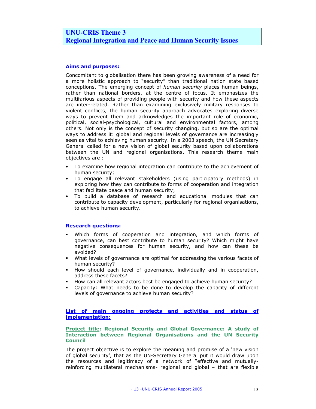# **UNU-CRIS Theme 3 Regional Integration and Peace and Human Security Issues**

#### Aims and purposes:

Concomitant to globalisation there has been growing awareness of a need for a more holistic approach to "security" than traditional nation state based conceptions. The emerging concept of human security places human beings, rather than national borders, at the centre of focus. It emphasizes the multifarious aspects of providing people with security and how these aspects are inter-related. Rather than examining exclusively military responses to violent conflicts, the human security approach advocates exploring diverse ways to prevent them and acknowledges the important role of economic, political, social-psychological, cultural and environmental factors, among others. Not only is the concept of security changing, but so are the optimal ways to address it: global and regional levels of governance are increasingly seen as vital to achieving human security. In a 2003 speech, the UN Secretary General called for a new vision of global security based upon collaborations between the UN and regional organisations. This research theme main objectives are :

- To examine how regional integration can contribute to the achievement of human security;
- To engage all relevant stakeholders (using participatory methods) in exploring how they can contribute to forms of cooperation and integration that facilitate peace and human security;
- To build a database of research and educational modules that can contribute to capacity development, particularly for regional organisations, to achieve human security.

#### Research questions:

- Which forms of cooperation and integration, and which forms of governance, can best contribute to human security? Which might have negative consequences for human security, and how can these be avoided?
- What levels of governance are optimal for addressing the various facets of human security?
- How should each level of governance, individually and in cooperation, address these facets?
- How can all relevant actors best be engaged to achieve human security?
- Capacity: What needs to be done to develop the capacity of different levels of governance to achieve human security?

#### List of main ongoing projects and activities and status of implementation:

#### Project title: Regional Security and Global Governance: A study of Interaction between Regional Organisations and the UN Security **Council**

The project objective is to explore the meaning and promise of a 'new vision of global security', that as the UN-Secretary General put it would draw upon the resources and legitimacy of a network of "effective and mutuallyreinforcing multilateral mechanisms- regional and global – that are flexible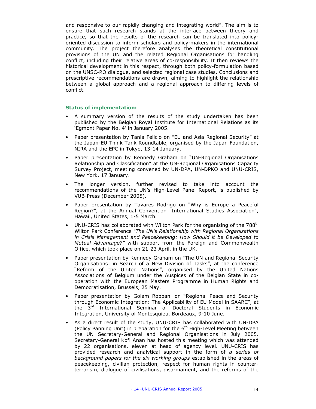and responsive to our rapidly changing and integrating world". The aim is to ensure that such research stands at the interface between theory and practice, so that the results of the research can be translated into policyoriented discussion to inform scholars and policy-makers in the international community. The project therefore analyses the theoretical constitutional provisions of the UN and the related Regional Organisations for handling conflict, including their relative areas of co-responsibility. It then reviews the historical development in this respect, through both policy-formulation based on the UNSC-RO dialogue, and selected regional case studies. Conclusions and prescriptive recommendations are drawn, aiming to highlight the relationship between a global approach and a regional approach to differing levels of conflict.

- A summary version of the results of the study undertaken has been published by the Belgian Royal Institute for International Relations as its 'Egmont Paper No. 4' in January 2005.
- Paper presentation by Tania Felicio on "EU and Asia Regional Security" at the Japan-EU Think Tank Roundtable, organised by the Japan Foundation, NIRA and the EPC in Tokyo, 13-14 January.
- Paper presentation by Kennedy Graham on "UN-Regional Organisations Relationship and Classification" at the UN-Regional Organisations Capacity Survey Project, meeting convened by UN-DPA, UN-DPKO and UNU-CRIS, New York, 17 January.
- The longer version, further revised to take into account the recommendations of the UN's High-Level Panel Report, is published by VUB-Press (December 2005).
- Paper presentation by Tavares Rodrigo on "Why is Europe a Peaceful Region?", at the Annual Convention "International Studies Association", Hawaii, United States, 1-5 March.
- UNU-CRIS has collaborated with Wilton Park for the organising of the 788<sup>th</sup> Wilton Park Conference "The UN's Relationship with Regional Organisations in Crisis Management and Peacekeeping: How Should it be Developed to Mutual Advantage?" with support from the Foreign and Commonwealth Office, which took place on 21-23 April, in the UK.
- Paper presentation by Kennedy Graham on "The UN and Regional Security Organisations: in Search of a New Division of Tasks", at the conference "Reform of the United Nations", organised by the United Nations Associations of Belgium under the Auspices of the Belgian State in cooperation with the European Masters Programme in Human Rights and Democratisation, Brussels, 25 May.
- Paper presentation by Golam Robbani on "Regional Peace and Security through Economic Integration: The Applicability of EU Model in SAARC", at the 3rd International Seminar of Doctoral Students in Economic Integration, University of Montesquieu, Bordeaux, 9-10 June.
- As a direct result of the study, UNU-CRIS has collaborated with UN-DPA (Policy Panning Unit) in preparation for the  $6<sup>th</sup>$  High-Level Meeting between the UN Secretary-General and Regional Organisations in July 2005. Secretary-General Kofi Anan has hosted this meeting which was attended by 22 organisations, eleven at head of agency level. UNU-CRIS has provided research and analytical support in the form of a series of background papers for the six working groups established in the areas of peacekeeping, civilian protection, respect for human rights in counterterrorism, dialogue of civilisations, disarmament, and the reforms of the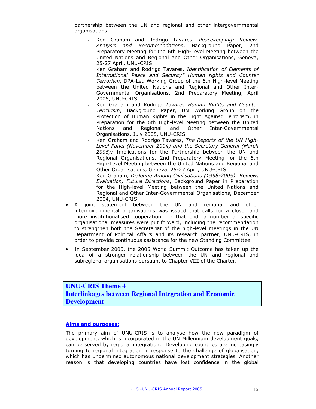partnership between the UN and regional and other intergovernmental organisations:

- Ken Graham and Rodrigo Tavares, Peacekeeping: Review, Analysis and Recommendations, Background Paper, 2nd Preparatory Meeting for the 6th High-Level Meeting between the United Nations and Regional and Other Organisations, Geneva, 25-27 April, UNU-CRIS.
- Ken Graham and Rodrigo Tavares, Identification of Elements of International Peace and Security" Human rights and Counter Terrorism, DPA-Led Working Group of the 6th High-level Meeting between the United Nations and Regional and Other Inter-Governmental Organisations, 2nd Preparatory Meeting, April 2005, UNU-CRIS.
- Ken Graham and Rodrigo Tavares Human Rights and Counter Terrorism, Background Paper, UN Working Group on the Protection of Human Rights in the Fight Against Terrorism, in Preparation for the 6th High-level Meeting between the United Nations and Regional and Other Inter-Governmental Organisations, July 2005, UNU-CRIS.
- Ken Graham and Rodrigo Tavares, The Reports of the UN High-Level Panel (November 2004) and the Secretary-General (March 2005): Implications for the Partnership between the UN and Regional Organisations, 2nd Preparatory Meeting for the 6th High-Level Meeting between the United Nations and Regional and Other Organisations, Geneva, 25-27 April, UNU-CRIS.
- Ken Graham, Dialogue Among Civilisations (1998-2005): Review, Evaluation, Future Directions, Background Paper in Preparation for the High-level Meeting between the United Nations and Regional and Other Inter-Governmental Organisations, December 2004, UNU-CRIS.
- A joint statement between the UN and regional and other intergovernmental organisations was issued that calls for a closer and more institutionalised cooperation. To that end, a number of specific organisational measures were put forward, including the recommendation to strengthen both the Secretariat of the high-level meetings in the UN Department of Political Affairs and its research partner, UNU-CRIS, in order to provide continuous assistance for the new Standing Committee.
- In September 2005, the 2005 World Summit Outcome has taken up the idea of a stronger relationship between the UN and regional and subregional organisations pursuant to Chapter VIII of the Charter.

# **UNU-CRIS Theme 4 Interlinkages between Regional Integration and Economic Development**

#### Aims and purposes:

The primary aim of UNU-CRIS is to analyse how the new paradigm of development, which is incorporated in the UN Millennium development goals, can be served by regional integration. Developing countries are increasingly turning to regional integration in response to the challenge of globalisation, which has undermined autonomous national development strategies. Another reason is that developing countries have lost confidence in the global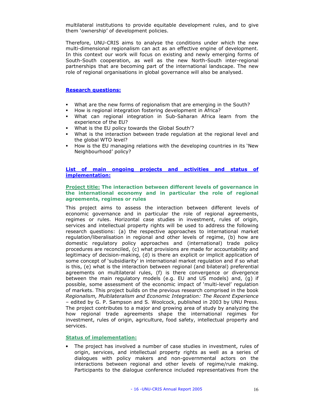multilateral institutions to provide equitable development rules, and to give them 'ownership' of development policies.

Therefore, UNU-CRIS aims to analyse the conditions under which the new multi-dimensional regionalism can act as an effective engine of development. In this context our work will focus on existing and newly emerging forms of South-South cooperation, as well as the new North-South inter-regional partnerships that are becoming part of the international landscape. The new role of regional organisations in global governance will also be analysed.

#### Research questions:

- What are the new forms of regionalism that are emerging in the South?
- How is regional integration fostering development in Africa?
- What can regional integration in Sub-Saharan Africa learn from the experience of the EU?
- What is the EU policy towards the Global South'?
- What is the interaction between trade regulation at the regional level and the global WTO level?
- How is the EU managing relations with the developing countries in its 'New Neighbourhood' policy?

#### List of main ongoing projects and activities and status of implementation:

#### Project title: The interaction between different levels of governance in the international economy and in particular the role of regional agreements, regimes or rules

This project aims to assess the interaction between different levels of economic governance and in particular the role of regional agreements, regimes or rules. Horizontal case studies in investment, rules of origin, services and intellectual property rights will be used to address the following research questions: (a) the respective approaches to international market regulation/liberalisation in regional and other levels of regime, (b) how are domestic regulatory policy approaches and (international) trade policy procedures are reconciled, (c) what provisions are made for accountability and legitimacy of decision-making, (d) is there an explicit or implicit application of some concept of 'subsidiarity' in international market regulation and if so what is this, (e) what is the interaction between regional (and bilateral) preferential agreements on multilateral rules, (f) is there convergence or divergence between the main regulatory models (e.g. EU and US models) and, (g) if possible, some assessment of the economic impact of 'multi-level' regulation of markets. This project builds on the previous research comprised in the book Regionalism, Multilateralism and Economic Integration: The Recent Experience – edited by G. P. Sampson and S. Woolcock, published in 2003 by UNU Press. The project contributes to a major and growing area of study by analyzing the how regional trade agreements shape the international regimes for investment, rules of origin, agriculture, food safety, intellectual property and services.

#### Status of implementation:

The project has involved a number of case studies in investment, rules of origin, services, and intellectual property rights as well as a series of dialogues with policy makers and non-governmental actors on the interactions between regional and other levels of regime/rule making. Participants to the dialogue conference included representatives from the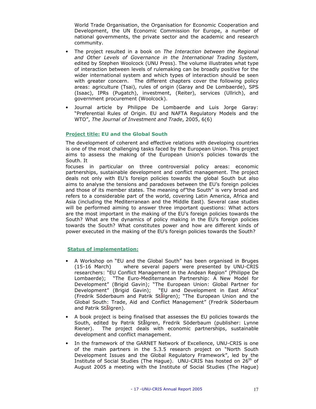World Trade Organisation, the Organisation for Economic Cooperation and Development, the UN Economic Commission for Europe, a number of national governments, the private sector and the academic and research community.

- The project resulted in a book on The Interaction between the Regional and Other Levels of Governance in the International Trading System, edited by Stephen Woolcock (UNU Press). The volume illustrates what type of interaction between levels of rulemaking can be broadly positive for the wider international system and which types of interaction should be seen with greater concern. The different chapters cover the following policy areas: agriculture (Tsai), rules of origin (Garay and De Lombaerde), SPS (Isaac), IPRs (Pugatch), investment, (Reiter), services (Ullrich), and government procurement (Woolcock).
- Journal article by Philippe De Lombaerde and Luis Jorge Garay: "Preferential Rules of Origin. EU and NAFTA Regulatory Models and the WTO", The Journal of Investment and Trade, 2005, 6(6)

#### Project title: EU and the Global South

The development of coherent and effective relations with developing countries is one of the most challenging tasks faced by the European Union. This project aims to assess the making of the European Union's policies towards the South. It

focuses in particular on three controversial policy areas: economic partnerships, sustainable development and conflict management. The project deals not only with EU's foreign policies towards the global South but also aims to analyse the tensions and paradoxes between the EU's foreign policies and those of its member states. The meaning of"the South" is very broad and refers to a considerable part of the world, covering Latin America, Africa and Asia (including the Mediterranean and the Middle East). Several case studies will be performed aiming to answer three important questions: What actors are the most important in the making of the EU's foreign policies towards the South? What are the dynamics of policy making in the EU's foreign policies towards the South? What constitutes power and how are different kinds of power executed in the making of the EU's foreign policies towards the South?

- A Workshop on "EU and the Global South" has been organised in Bruges (15-16 March) where several papers were presented by UNU-CRIS researchers: "EU Conflict Management in the Andean Region" (Philippe De Lombaerde); "The Euro-Mediterranean Partnership: A New Model for Development" (Brigid Gavin); "The European Union: Global Partner for Development" (Brigid Gavin); "EU and Development in East Africa" (Fredrik Söderbaum and Patrik Stålgren); "The European Union and the Global South: Trade, Aid and Conflict Management" (Fredrik Söderbaum and Patrik Stålgren).
- A book project is being finalised that assesses the EU policies towards the South, edited by Patrik Stålgren, Fredrik Söderbaum (publisher: Lynne Riener). The project deals with economic partnerships, sustainable development and conflict management.
- In the framework of the GARNET Network of Excellence, UNU-CRIS is one of the main partners in the 5.3.5 research project on "North South Development Issues and the Global Regulatory Framework", led by the Institute of Social Studies (The Hague). UNU-CRIS has hosted on  $26<sup>th</sup>$  of August 2005 a meeting with the Institute of Social Studies (The Hague)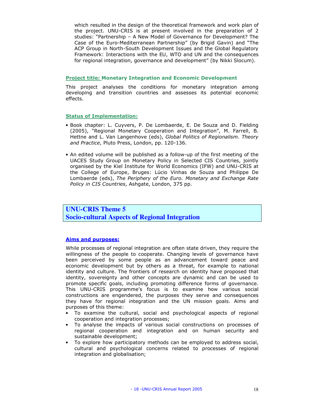which resulted in the design of the theoretical framework and work plan of the project. UNU-CRIS is at present involved in the preparation of 2 studies: "Partnership – A New Model of Governance for Development? The Case of the Euro-Mediterranean Partnership" (by Brigid Gavin) and "The ACP Group in North-South Development Issues and the Global Regulatory Framework: Interactions with the EU, WTO and UN and the consequences for regional integration, governance and development" (by Nikki Slocum).

#### Project title: Monetary Integration and Economic Development

This project analyses the conditions for monetary integration among developing and transition countries and assesses its potential economic effects.

#### Status of Implementation:

- Book chapter: L. Cuyvers, P. De Lombaerde, E. De Souza and D. Fielding (2005), "Regional Monetary Cooperation and Integration", M. Farrell, B. Hettne and L. Van Langenhove (eds), Global Politics of Regionalism. Theory and Practice, Pluto Press, London, pp. 120-136.
- An edited volume will be published as a follow-up of the first meeting of the UACES Study Group on Monetary Policy in Selected CIS Countries, jointly organised by the Kiel Institute for World Economics (IFW) and UNU-CRIS at the College of Europe, Bruges: Lúcio Vinhas de Souza and Philippe De Lombaerde (eds), The Periphery of the Euro. Monetary and Exchange Rate Policy in CIS Countries, Ashgate, London, 375 pp.

### **UNU-CRIS Theme 5 Socio-cultural Aspects of Regional Integration**

#### Aims and purposes:

While processes of regional integration are often state driven, they require the willingness of the people to cooperate. Changing levels of governance have been perceived by some people as an advancement toward peace and economic development but by others as a threat, for example to national identity and culture. The frontiers of research on identity have proposed that identity, sovereignty and other concepts are dynamic and can be used to promote specific goals, including promoting difference forms of governance. This UNU-CRIS programme's focus is to examine how various social constructions are engendered, the purposes they serve and consequences they have for regional integration and the UN mission goals. Aims and purposes of this theme:

- To examine the cultural, social and psychological aspects of regional cooperation and integration processes;
- To analyse the impacts of various social constructions on processes of regional cooperation and integration and on human security and sustainable development;
- To explore how participatory methods can be employed to address social, cultural and psychological concerns related to processes of regional integration and globalisation;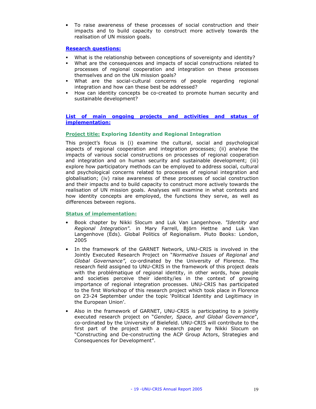• To raise awareness of these processes of social construction and their impacts and to build capacity to construct more actively towards the realisation of UN mission goals.

#### Research questions:

- What is the relationship between conceptions of sovereignty and identity?
- What are the consequences and impacts of social constructions related to processes of regional cooperation and integration on these processes themselves and on the UN mission goals?
- What are the social-cultural concerns of people regarding regional integration and how can these best be addressed?
- How can identity concepts be co-created to promote human security and sustainable development?

#### List of main ongoing projects and activities and status of implementation:

#### Project title: Exploring Identity and Regional Integration

This project's focus is (i) examine the cultural, social and psychological aspects of regional cooperation and integration processes; (ii) analyse the impacts of various social constructions on processes of regional cooperation and integration and on human security and sustainable development; (iii) explore how participatory methods can be employed to address social, cultural and psychological concerns related to processes of regional integration and globalisation; (iv) raise awareness of these processes of social construction and their impacts and to build capacity to construct more actively towards the realisation of UN mission goals. Analyses will examine in what contexts and how identity concepts are employed, the functions they serve, as well as differences between regions.

- Book chapter by Nikki Slocum and Luk Van Langenhove. "Identity and Regional Integration". in Mary Farrell, Björn Hettne and Luk Van Langenhove (Eds). Global Politics of Regionalism. Pluto Books: London, 2005
- In the framework of the GARNET Network, UNU-CRIS is involved in the Jointly Executed Research Project on "Normative Issues of Regional and Global Governance", co-ordinated by the University of Florence. The research field assigned to UNU-CRIS in the framework of this project deals with the problématique of regional identity, in other words, how people and societies perceive their identity/ies in the context of growing importance of regional integration processes. UNU-CRIS has participated to the first Workshop of this research project which took place in Florence on 23-24 September under the topic 'Political Identity and Legitimacy in the European Union'.
- Also in the framework of GARNET, UNU-CRIS is participating to a jointly executed research project on "Gender, Space, and Global Governance", co-ordinated by the University of Bielefeld. UNU-CRIS will contribute to the first part of the project with a research paper by Nikki Slocum on "Constructing and De-constructing the ACP Group Actors, Strategies and Consequences for Development".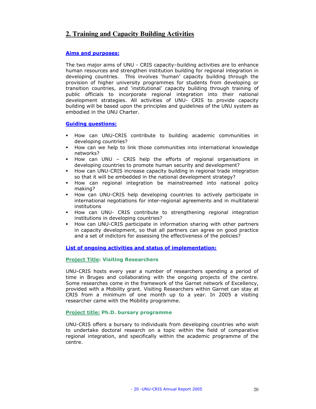# **2. Training and Capacity Building Activities**

#### Aims and purposes:

The two major aims of UNU - CRIS capacity–building activities are to enhance human resources and strengthen institution building for regional integration in developing countries. This involves 'human' capacity building through the provision of higher university programmes for students from developing or transition countries, and 'institutional' capacity building through training of public officials to incorporate regional integration into their national development strategies. All activities of UNU- CRIS to provide capacity building will be based upon the principles and guidelines of the UNU system as embodied in the UNU Charter.

#### Guiding questions:

- How can UNU-CRIS contribute to building academic communities in developing countries?
- How can we help to link those communities into international knowledge networks?
- How can UNU CRIS help the efforts of regional organisations in developing countries to promote human security and development?
- How can UNU-CRIS increase capacity building in regional trade integration so that it will be embedded in the national development strategy?
- How can regional integration be mainstreamed into national policy making?
- How can UNU-CRIS help developing countries to actively participate in international negotiations for inter-regional agreements and in multilateral institutions
- How can UNU- CRIS contribute to strengthening regional integration institutions in developing countries?
- How can UNU-CRIS participate in information sharing with other partners in capacity development, so that all partners can agree on good practice and a set of indictors for assessing the effectiveness of the policies?

#### List of ongoing activities and status of implementation:

#### Project Title: Visiting Researchers

UNU-CRIS hosts every year a number of researchers spending a period of time in Bruges and collaborating with the ongoing projects of the centre. Some researches come in the framework of the Garnet network of Excellency, provided with a Mobility grant. Visiting Researchers within Garnet can stay at CRIS from a minimum of one month up to a year. In 2005 a visiting researcher came with the Mobility programme.

#### Project title: Ph.D. bursary programme

UNU-CRIS offers a bursary to individuals from developing countries who wish to undertake doctoral research on a topic within the field of comparative regional integration, and specifically within the academic programme of the centre.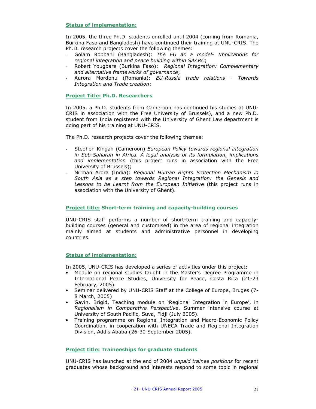#### Status of implementation:

In 2005, the three Ph.D. students enrolled until 2004 (coming from Romania, Burkina Faso and Bangladesh) have continued their training at UNU-CRIS. The Ph.D. research projects cover the following themes:

- Golam Robbani (Bangladesh): The EU as a model- Implications for regional integration and peace building within SAARC;
- Robert Yougbare (Burkina Faso): Regional Integration: Complementary and alternative frameworks of governance;
- Aurora Mordonu (Romania): EU-Russia trade relations Towards Integration and Trade creation;

#### Project Title: Ph.D. Researchers

In 2005, a Ph.D. students from Cameroon has continued his studies at UNU-CRIS in association with the Free University of Brussels), and a new Ph.D. student from India registered with the University of Ghent Law department is doing part of his training at UNU-CRIS.

The Ph.D. research projects cover the following themes:

- Stephen Kingah (Cameroon) European Policy towards regional integration in Sub-Saharan in Africa. A legal analysis of its formulation, implications and implementation (this project runs in association with the Free University of Brussels);
- Nirman Arora (India): Regional Human Rights Protection Mechanism in South Asia as a step towards Regional Integration: the Genesis and Lessons to be Learnt from the European Initiative (this project runs in association with the University of Ghent).

#### Project title: Short-term training and capacity-building courses

UNU-CRIS staff performs a number of short-term training and capacitybuilding courses (general and customised) in the area of regional integration mainly aimed at students and administrative personnel in developing countries.

#### Status of implementation:

In 2005, UNU-CRIS has developed a series of activities under this project:

- Module on regional studies taught in the Master's Degree Programme in International Peace Studies, University for Peace, Costa Rica (21-23 February, 2005).
- Seminar delivered by UNU-CRIS Staff at the College of Europe, Bruges (7- 8 March, 2005)
- Gavin, Brigid, Teaching module on 'Regional Integration in Europe', in Regionalism in Comparative Perspective, Summer intensive course at University of South Pacific, Suva, Fidji (July 2005).
- Training programme on Regional Integration and Macro-Economic Policy Coordination, in cooperation with UNECA Trade and Regional Integration Division, Addis Ababa (26-30 September 2005).

#### Project title: Traineeships for graduate students

UNU-CRIS has launched at the end of 2004 unpaid trainee positions for recent graduates whose background and interests respond to some topic in regional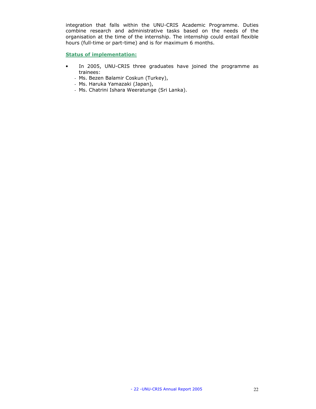integration that falls within the UNU-CRIS Academic Programme. Duties combine research and administrative tasks based on the needs of the organisation at the time of the internship. The internship could entail flexible hours (full-time or part-time) and is for maximum 6 months.

- In 2005, UNU-CRIS three graduates have joined the programme as trainees:
	- Ms. Bezen Balamir Coskun (Turkey),
	- Ms. Haruka Yamazaki (Japan),
	- Ms. Chatrini Ishara Weeratunge (Sri Lanka).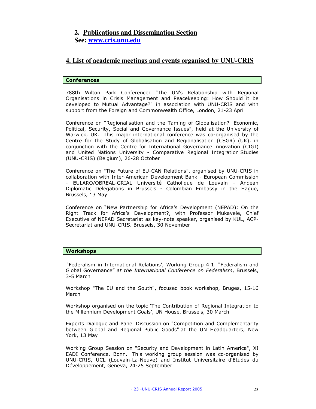# **2. Publications and Dissemination Section**

**See: www.cris.unu.edu**

# **4. List of academic meetings and events organised by UNU-CRIS**

#### Conferences

788th Wilton Park Conference: "The UN's Relationship with Regional Organisations in Crisis Management and Peacekeeping: How Should it be developed to Mutual Advantage?" in association with UNU-CRIS and with support from the Foreign and Commonwealth Office, London, 21-23 April

Conference on "Regionalisation and the Taming of Globalisation? Economic, Political, Security, Social and Governance Issues", held at the University of Warwick, UK. This major international conference was co-organised by the Centre for the Study of Globalisation and Regionalisation (CSGR) (UK), in conjunction with the Centre for International Governance Innovation (CIGI) and United Nations University - Comparative Regional Integration Studies (UNU-CRIS) (Belgium), 26-28 October

Conference on "The Future of EU-CAN Relations", organised by UNU-CRIS in collaboration with Inter-American Development Bank - European Commission - EULARO/OBREAL-GRIAL Université Catholique de Louvain - Andean Diplomatic Delegations in Brussels - Colombian Embassy in the Hague, Brussels, 13 May

Conference on "New Partnership for Africa's Development (NEPAD): On the Right Track for Africa's Development?, with Professor Mukavele, Chief Executive of NEPAD Secretariat as key-note speaker, organised by KUL, ACP-Secretariat and UNU-CRIS. Brussels, 30 November

#### Workshops

 'Federalism in International Relations', Working Group 4.1. "Federalism and Global Governance" at the International Conference on Federalism, Brussels, 3-5 March

Workshop "The EU and the South", focused book workshop, Bruges, 15-16 March

Workshop organised on the topic 'The Contribution of Regional Integration to the Millennium Development Goals', UN House, Brussels, 30 March

Experts Dialogue and Panel Discussion on "Competition and Complementarity between Global and Regional Public Goods" at the UN Headquarters, New York, 13 May

Working Group Session on "Security and Development in Latin America", XI EADI Conference, Bonn. This working group session was co-organised by UNU-CRIS, UCL (Louvain-La-Neuve) and Institut Universitaire d'Etudes du Développement, Geneva, 24-25 September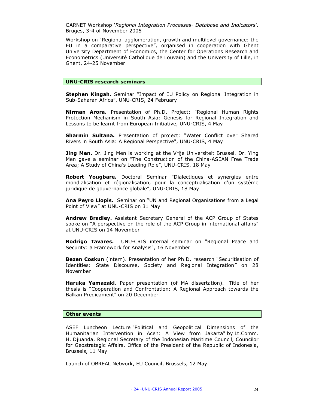GARNET Workshop 'Regional Integration Processes- Database and Indicators'. Bruges, 3-4 of November 2005

Workshop on "Regional agglomeration, growth and multilevel governance: the EU in a comparative perspective", organised in cooperation with Ghent University Department of Economics, the Center for Operations Research and Econometrics (Université Catholique de Louvain) and the University of Lille, in Ghent, 24-25 November

#### UNU-CRIS research seminars

Stephen Kingah. Seminar "Impact of EU Policy on Regional Integration in Sub-Saharan Africa", UNU-CRIS, 24 February

Nirman Arora. Presentation of Ph.D. Project: "Regional Human Rights Protection Mechanism in South Asia: Genesis for Regional Integration and Lessons to be learnt from European Initiative, UNU-CRIS, 4 May

Sharmin Sultana. Presentation of project: "Water Conflict over Shared Rivers in South Asia: A Regional Perspective", UNU-CRIS, 4 May

**Jing Men.** Dr. Jing Men is working at the Vrije Universiteit Brussel. Dr. Ying Men gave a seminar on "The Construction of the China-ASEAN Free Trade Area; A Study of China's Leading Role", UNU-CRIS, 18 May

Robert Yougbare. Doctoral Seminar "Dialectiques et synergies entre mondialisation et régionalisation, pour la conceptualisation d'un système juridique de gouvernance globale", UNU-CRIS, 18 May

Ana Peyro Llopis. Seminar on "UN and Regional Organisations from a Legal Point of View" at UNU-CRIS on 31 May

Andrew Bradley. Assistant Secretary General of the ACP Group of States spoke on "A perspective on the role of the ACP Group in international affairs" at UNU-CRIS on 14 November

Rodrigo Tavares. UNU-CRIS internal seminar on "Regional Peace and Security: a Framework for Analysis", 16 November

Bezen Coskun (intern). Presentation of her Ph.D. research "Securitisation of Identities: State Discourse, Society and Regional Integration" on 28 November

Haruka Yamazaki. Paper presentation (of MA dissertation). Title of her thesis is "Cooperation and Confrontation: A Regional Approach towards the Balkan Predicament" on 20 December

#### Other events

ASEF Luncheon Lecture "Political and Geopolitical Dimensions of the Humanitarian Intervention in Aceh: A View from Jakarta" by Lt.Comm. H. Djuanda, Regional Secretary of the Indonesian Maritime Council, Councilor for Geostrategic Affairs, Office of the President of the Republic of Indonesia, Brussels, 11 May

Launch of OBREAL Network, EU Council, Brussels, 12 May.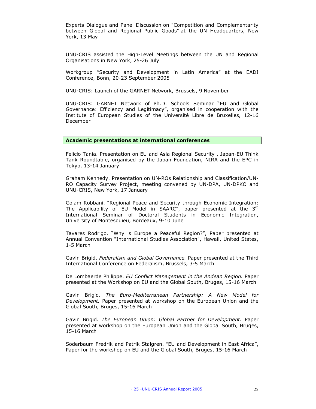Experts Dialogue and Panel Discussion on "Competition and Complementarity between Global and Regional Public Goods" at the UN Headquarters, New York, 13 May

UNU-CRIS assisted the High-Level Meetings between the UN and Regional Organisations in New York, 25-26 July

Workgroup "Security and Development in Latin America" at the EADI Conference, Bonn, 20-23 September 2005

UNU-CRIS: Launch of the GARNET Network, Brussels, 9 November

UNU-CRIS: GARNET Network of Ph.D. Schools Seminar "EU and Global Governance: Efficiency and Legitimacy", organised in cooperation with the Institute of European Studies of the Université Libre de Bruxelles, 12-16 December

#### Academic presentations at international conferences

Felicio Tania. Presentation on EU and Asia Regional Security , Japan-EU Think Tank Roundtable, organised by the Japan Foundation, NIRA and the EPC in Tokyo, 13-14 January

Graham Kennedy. Presentation on UN-ROs Relationship and Classification/UN-RO Capacity Survey Project, meeting convened by UN-DPA, UN-DPKO and UNU-CRIS, New York, 17 January

Golam Robbani. "Regional Peace and Security through Economic Integration: The Applicability of EU Model in SAARC", paper presented at the  $3<sup>rd</sup>$ International Seminar of Doctoral Students in Economic Integration, University of Montesquieu, Bordeaux, 9-10 June

Tavares Rodrigo. "Why is Europe a Peaceful Region?", Paper presented at Annual Convention "International Studies Association", Hawaii, United States, 1-5 March

Gavin Brigid. Federalism and Global Governance. Paper presented at the Third International Conference on Federalism, Brussels, 3-5 March

De Lombaerde Philippe. EU Conflict Management in the Andean Region. Paper presented at the Workshop on EU and the Global South, Bruges, 15-16 March

Gavin Brigid. The Euro-Mediterranean Partnership: A New Model for Development. Paper presented at workshop on the European Union and the Global South, Bruges, 15-16 March

Gavin Brigid. The European Union: Global Partner for Development. Paper presented at workshop on the European Union and the Global South, Bruges, 15-16 March

Söderbaum Fredrik and Patrik Stalgren. "EU and Development in East Africa", Paper for the workshop on EU and the Global South, Bruges, 15-16 March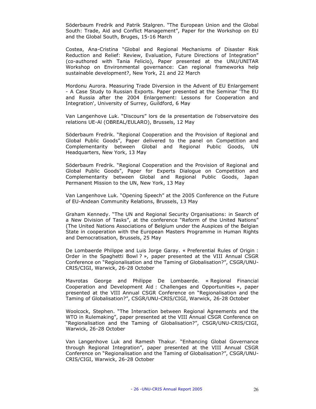Söderbaum Fredrik and Patrik Stalgren. "The European Union and the Global South: Trade, Aid and Conflict Management", Paper for the Workshop on EU and the Global South, Bruges, 15-16 March

Costea, Ana-Cristina "Global and Regional Mechanisms of Disaster Risk Reduction and Relief: Review, Evaluation, Future Directions of Integration" (co-authored with Tania Felicio), Paper presented at the UNU/UNITAR Workshop on Environmental governance: Can regional frameworks help sustainable development?, New York, 21 and 22 March

Mordonu Aurora. Measuring Trade Diversion in the Advent of EU Enlargement - A Case Study to Russian Exports. Paper presented at the Seminar 'The EU and Russia after the 2004 Enlargement: Lessons for Cooperation and Integration', University of Surrey, Guildford, 6 May

Van Langenhove Luk. "Discours" lors de la presentation de l'observatoire des relations UE-Al (OBREAL/EULARO), Brussels, 12 May

Söderbaum Fredrik. "Regional Cooperation and the Provision of Regional and Global Public Goods", Paper delivered to the panel on Competition and Complementarity between Global and Regional Public Goods, UN Headquarters, New York, 13 May

Söderbaum Fredrik. "Regional Cooperation and the Provision of Regional and Global Public Goods", Paper for Experts Dialogue on Competition and Complementarity between Global and Regional Public Goods, Japan Permanent Mission to the UN, New York, 13 May

Van Langenhove Luk. "Opening Speech" at the 2005 Conference on the Future of EU-Andean Community Relations, Brussels, 13 May

Graham Kennedy. "The UN and Regional Security Organisations: in Search of a New Division of Tasks", at the conference "Reform of the United Nations" (The United Nations Associations of Belgium under the Auspices of the Belgian State in cooperation with the European Masters Programme in Human Rights and Democratisation, Brussels, 25 May

De Lombaerde Philippe and Luis Jorge Garay. « Preferential Rules of Origin : Order in the Spaghetti Bowl ? », paper presented at the VIII Annual CSGR Conference on "Regionalisation and the Taming of Globalisation?", CSGR/UNU-CRIS/CIGI, Warwick, 26-28 October

Mavrotas George and Philippe De Lombaerde. « Regional Financial Cooperation and Development Aid : Challenges and Opportunities », paper presented at the VIII Annual CSGR Conference on "Regionalisation and the Taming of Globalisation?", CSGR/UNU-CRIS/CIGI, Warwick, 26-28 October

Woolcock, Stephen. "The Interaction between Regional Agreements and the WTO in Rulemaking", paper presented at the VIII Annual CSGR Conference on "Regionalisation and the Taming of Globalisation?", CSGR/UNU-CRIS/CIGI, Warwick, 26-28 October

Van Langenhove Luk and Ramesh Thakur. "Enhancing Global Governance through Regional Integration", paper presented at the VIII Annual CSGR Conference on "Regionalisation and the Taming of Globalisation?", CSGR/UNU-CRIS/CIGI, Warwick, 26-28 October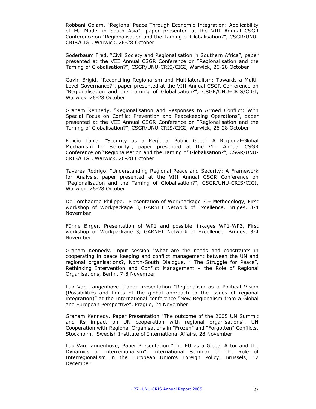Robbani Golam. "Regional Peace Through Economic Integration: Applicability of EU Model in South Asia", paper presented at the VIII Annual CSGR Conference on "Regionalisation and the Taming of Globalisation?", CSGR/UNU-CRIS/CIGI, Warwick, 26-28 October

Söderbaum Fred. "Civil Society and Regionalisation in Southern Africa", paper presented at the VIII Annual CSGR Conference on "Regionalisation and the Taming of Globalisation?", CSGR/UNU-CRIS/CIGI, Warwick, 26-28 October

Gavin Brigid. "Reconciling Regionalism and Multilateralism: Towards a Multi-Level Governance?", paper presented at the VIII Annual CSGR Conference on "Regionalisation and the Taming of Globalisation?", CSGR/UNU-CRIS/CIGI, Warwick, 26-28 October

Graham Kennedy. "Regionalisation and Responses to Armed Conflict: With Special Focus on Conflict Prevention and Peacekeeping Operations", paper presented at the VIII Annual CSGR Conference on "Regionalisation and the Taming of Globalisation?", CSGR/UNU-CRIS/CIGI, Warwick, 26-28 October

Felicio Tania. "Security as a Regional Public Good: A Regional-Global Mechanism for Security", paper presented at the VIII Annual CSGR Conference on "Regionalisation and the Taming of Globalisation?", CSGR/UNU-CRIS/CIGI, Warwick, 26-28 October

Tavares Rodrigo. "Understanding Regional Peace and Security: A Framework for Analysis, paper presented at the VIII Annual CSGR Conference on "Regionalisation and the Taming of Globalisation?", CSGR/UNU-CRIS/CIGI, Warwick, 26-28 October

De Lombaerde Philippe. Presentation of Workpackage 3 – Methodology, First workshop of Workpackage 3, GARNET Network of Excellence, Bruges, 3-4 November

Fühne Birger. Presentation of WP1 and possible linkages WP1-WP3, First workshop of Workpackage 3, GARNET Network of Excellence, Bruges, 3-4 November

Graham Kennedy. Input session "What are the needs and constraints in cooperating in peace keeping and conflict management between the UN and regional organisations?, North-South Dialogue, " The Struggle for Peace", Rethinking Intervention and Conflict Management – the Role of Regional Organisations, Berlin, 7-8 November

Luk Van Langenhove. Paper presentation "Regionalism as a Political Vision (Possibilities and limits of the global approach to the issues of regional integration)" at the International conference "New Regionalism from a Global and European Perspective", Prague, 24 November

Graham Kennedy. Paper Presentation "The outcome of the 2005 UN Summit and its impact on UN cooperation with regional organisations", UN Cooperation with Regional Organisations in "Frozen" and "Forgotten" Conflicts, Stockholm, Swedish Institute of International Affairs, 28 November

Luk Van Langenhove; Paper Presentation "The EU as a Global Actor and the Dynamics of Interregionalism", International Seminar on the Role of Interregionalism in the European Union's Foreign Policy, Brussels, 12 December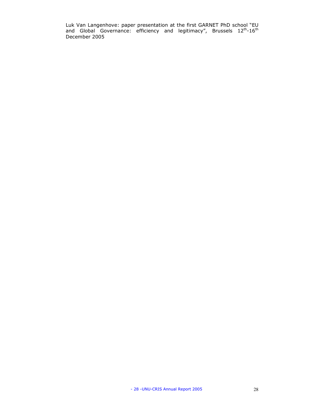Luk Van Langenhove: paper presentation at the first GARNET PhD school "EU and Global Governance: efficiency and legitimacy", Brussels 12<sup>th</sup>-16<sup>th</sup> December 2005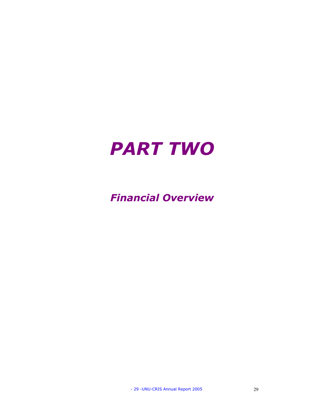

# Financial Overview